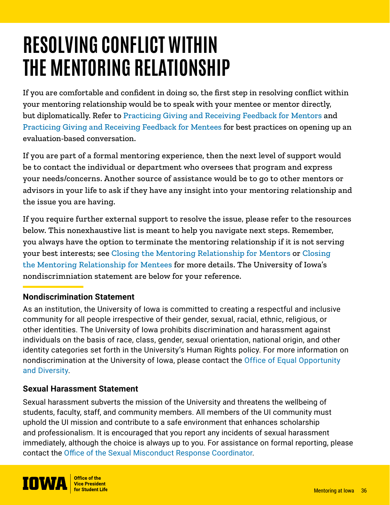# **RESOLVING CONFLICT WITHIN THE MENTORING RELATIONSHIP**

If you are comfortable and confident in doing so, the first step in resolving conflict within your mentoring relationship would be to speak with your mentee or mentor directly, but diplomatically. Refer to [Practicing Giving and Receiving Feedback for Mentors](https://mentor.uiowa.edu/sites/mentor.uiowa.edu/files/2021-11/Practicing%20Giving%20and%20Receiving%20Feedback%20-%20Mentors.pdf) and [Practicing Giving and Receiving Feedback for Mentees](https://mentor.uiowa.edu/sites/mentor.uiowa.edu/files/2021-11/Practicing%20Giving%20and%20Receiving%20Feedback.pdf) for best practices on opening up an evaluation-based conversation.

If you are part of a formal mentoring experience, then the next level of support would be to contact the individual or department who oversees that program and express your needs/concerns. Another source of assistance would be to go to other mentors or advisors in your life to ask if they have any insight into your mentoring relationship and the issue you are having.

If you require further external support to resolve the issue, please refer to the resources below. This nonexhaustive list is meant to help you navigate next steps. Remember, you always have the option to terminate the mentoring relationship if it is not serving your best interests; see [Closing the Mentoring Relationship for Mentors](https://mentor.uiowa.edu/sites/mentor.uiowa.edu/files/imports/Mentoring-Resources/Closing-the-Mentoring-Relationship-Mentors.pdf) or [Closing](https://mentor.uiowa.edu/sites/mentor.uiowa.edu/files/2021-11/Closing%20the%20Mentoring%20Relationship%20-%20Mentees.pdf)  [the Mentoring Relationship for Mentees](https://mentor.uiowa.edu/sites/mentor.uiowa.edu/files/2021-11/Closing%20the%20Mentoring%20Relationship%20-%20Mentees.pdf) for more details. The University of Iowa's nondiscrimniation statement are below for your reference.

### **Nondiscrimination Statement**

As an institution, the University of Iowa is committed to creating a respectful and inclusive community for all people irrespective of their gender, sexual, racial, ethnic, religious, or other identities. The University of Iowa prohibits discrimination and harassment against individuals on the basis of race, class, gender, sexual orientation, national origin, and other identity categories set forth in the University's Human Rights policy. For more information on nondiscrimination at the University of Iowa, please contact the [Office of Equal Opportunity](https://diversity.uiowa.edu/division/oie)  [and Diversity](https://diversity.uiowa.edu/division/oie).

#### **Sexual Harassment Statement**

Sexual harassment subverts the mission of the University and threatens the wellbeing of students, faculty, staff, and community members. All members of the UI community must uphold the UI mission and contribute to a safe environment that enhances scholarship and professionalism. It is encouraged that you report any incidents of sexual harassment immediately, although the choice is always up to you. For assistance on formal reporting, please contact the [Office of the Sexual Misconduct Response Coordinator](https://osmrc.uiowa.edu/).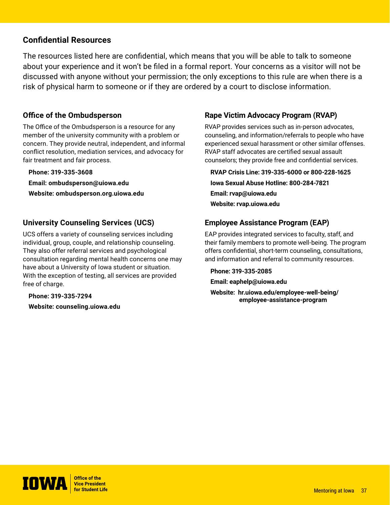#### **Confidential Resources**

The resources listed here are confidential, which means that you will be able to talk to someone about your experience and it won't be filed in a formal report. Your concerns as a visitor will not be discussed with anyone without your permission; the only exceptions to this rule are when there is a risk of physical harm to someone or if they are ordered by a court to disclose information.

#### **Office of the Ombudsperson**

The Office of the Ombudsperson is a resource for any member of the university community with a problem or concern. They provide neutral, independent, and informal conflict resolution, mediation services, and advocacy for fair treatment and fair process.

**Phone: 319-335-3608 Email: [ombudsperson@uiowa.edu](https://mentor.uiowa.edu/assets/Mentoring-Resources/Ethical-Expectations-of-Mentors.pdf) Website: [ombudsperson.org.uiowa.edu](https://ombudsperson.org.uiowa.edu/)**

#### **University Counseling Services (UCS)**

UCS offers a variety of counseling services including individual, group, couple, and relationship counseling. They also offer referral services and psychological consultation regarding mental health concerns one may have about a University of Iowa student or situation. With the exception of testing, all services are provided free of charge.

**Phone: 319-335-7294 Website: [counseling.uiowa.edu](https://counseling.uiowa.edu)**

#### **Rape Victim Advocacy Program (RVAP)**

RVAP provides services such as in-person advocates, counseling, and information/referrals to people who have experienced sexual harassment or other similar offenses. RVAP staff advocates are certified sexual assault counselors; they provide free and confidential services.

**RVAP Crisis Line: 319-335-6000 or 800-228-1625 Iowa Sexual Abuse Hotline: 800-284-7821 Email: [rvap@uiowa.edu](https://spock.imu.uiowa.edu/engage/) Website: [rvap.uiowa.edu](https://rvap.uiowa.edu)**

#### **Employee Assistance Program (EAP)**

EAP provides integrated services to faculty, staff, and their family members to promote well-being. The program offers confidential, short-term counseling, consultations, and information and referral to community resources.

**Phone: 319-335-2085 Email: eaphelp@uiowa.edu**

**Website: [hr.uiowa.edu/employee-well-being/](https://hr.uiowa.edu/employee-well-being/employee-assistance-program) [employee-assistance-program](https://hr.uiowa.edu/employee-well-being/employee-assistance-program)**

**Office of the IOWA** Vice President<br>for Student Life